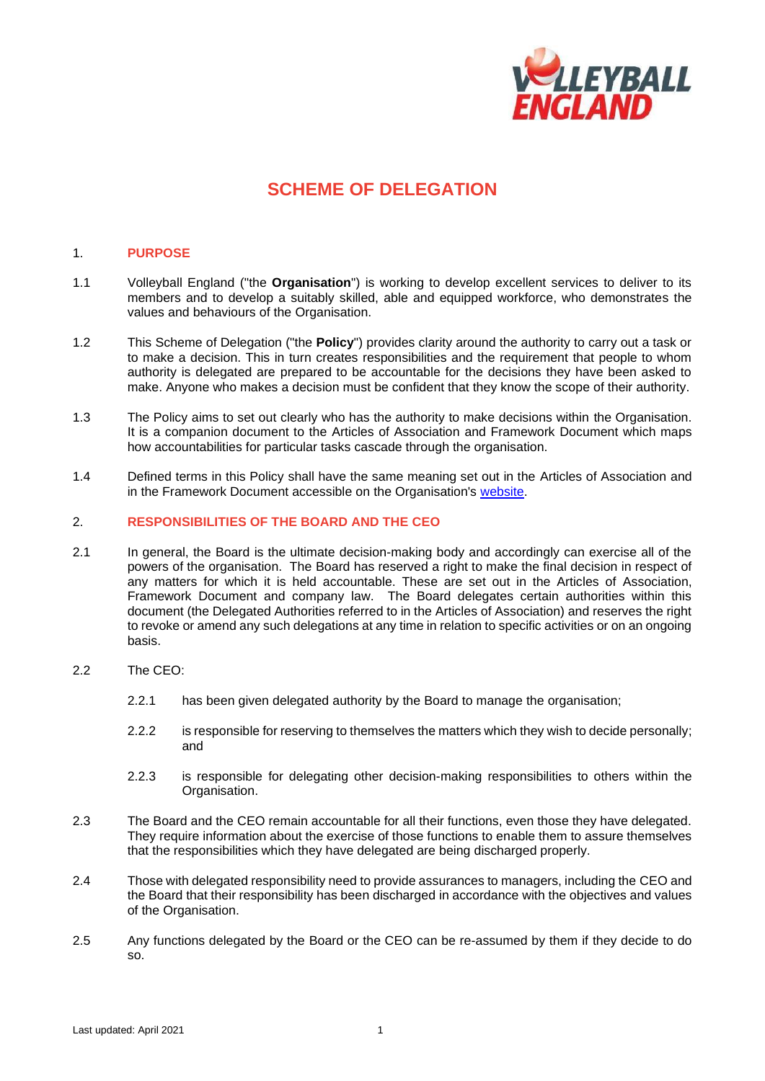

# **SCHEME OF DELEGATION**

# 1. **PURPOSE**

- 1.1 Volleyball England ("the **Organisation**") is working to develop excellent services to deliver to its members and to develop a suitably skilled, able and equipped workforce, who demonstrates the values and behaviours of the Organisation.
- 1.2 This Scheme of Delegation ("the **Policy**") provides clarity around the authority to carry out a task or to make a decision. This in turn creates responsibilities and the requirement that people to whom authority is delegated are prepared to be accountable for the decisions they have been asked to make. Anyone who makes a decision must be confident that they know the scope of their authority.
- 1.3 The Policy aims to set out clearly who has the authority to make decisions within the Organisation. It is a companion document to the Articles of Association and Framework Document which maps how accountabilities for particular tasks cascade through the organisation.
- 1.4 Defined terms in this Policy shall have the same meaning set out in the Articles of Association and in the Framework Document accessible on the Organisation's [website.](http://www.volleyballengland.org/about_us/about_us_/governance)

# 2. **RESPONSIBILITIES OF THE BOARD AND THE CEO**

2.1 In general, the Board is the ultimate decision-making body and accordingly can exercise all of the powers of the organisation. The Board has reserved a right to make the final decision in respect of any matters for which it is held accountable. These are set out in the Articles of Association, Framework Document and company law. The Board delegates certain authorities within this document (the Delegated Authorities referred to in the Articles of Association) and reserves the right to revoke or amend any such delegations at any time in relation to specific activities or on an ongoing basis.

# 2.2 The CEO:

- 2.2.1 has been given delegated authority by the Board to manage the organisation;
- 2.2.2 is responsible for reserving to themselves the matters which they wish to decide personally; and
- 2.2.3 is responsible for delegating other decision-making responsibilities to others within the Organisation.
- 2.3 The Board and the CEO remain accountable for all their functions, even those they have delegated. They require information about the exercise of those functions to enable them to assure themselves that the responsibilities which they have delegated are being discharged properly.
- 2.4 Those with delegated responsibility need to provide assurances to managers, including the CEO and the Board that their responsibility has been discharged in accordance with the objectives and values of the Organisation.
- 2.5 Any functions delegated by the Board or the CEO can be re-assumed by them if they decide to do so.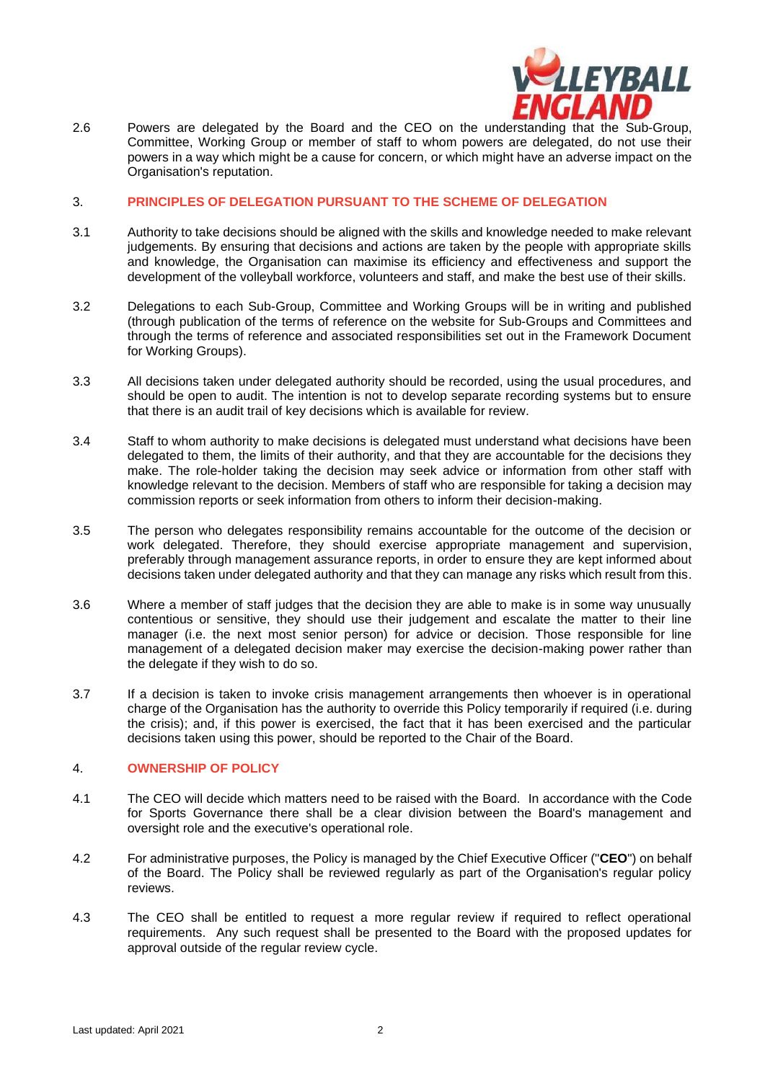

2.6 Powers are delegated by the Board and the CEO on the understanding that the Sub-Group, Committee, Working Group or member of staff to whom powers are delegated, do not use their powers in a way which might be a cause for concern, or which might have an adverse impact on the Organisation's reputation.

#### 3. **PRINCIPLES OF DELEGATION PURSUANT TO THE SCHEME OF DELEGATION**

- 3.1 Authority to take decisions should be aligned with the skills and knowledge needed to make relevant judgements. By ensuring that decisions and actions are taken by the people with appropriate skills and knowledge, the Organisation can maximise its efficiency and effectiveness and support the development of the volleyball workforce, volunteers and staff, and make the best use of their skills.
- 3.2 Delegations to each Sub-Group, Committee and Working Groups will be in writing and published (through publication of the terms of reference on the website for Sub-Groups and Committees and through the terms of reference and associated responsibilities set out in the Framework Document for Working Groups).
- 3.3 All decisions taken under delegated authority should be recorded, using the usual procedures, and should be open to audit. The intention is not to develop separate recording systems but to ensure that there is an audit trail of key decisions which is available for review.
- 3.4 Staff to whom authority to make decisions is delegated must understand what decisions have been delegated to them, the limits of their authority, and that they are accountable for the decisions they make. The role-holder taking the decision may seek advice or information from other staff with knowledge relevant to the decision. Members of staff who are responsible for taking a decision may commission reports or seek information from others to inform their decision-making.
- 3.5 The person who delegates responsibility remains accountable for the outcome of the decision or work delegated. Therefore, they should exercise appropriate management and supervision, preferably through management assurance reports, in order to ensure they are kept informed about decisions taken under delegated authority and that they can manage any risks which result from this.
- 3.6 Where a member of staff judges that the decision they are able to make is in some way unusually contentious or sensitive, they should use their judgement and escalate the matter to their line manager (i.e. the next most senior person) for advice or decision. Those responsible for line management of a delegated decision maker may exercise the decision-making power rather than the delegate if they wish to do so.
- 3.7 If a decision is taken to invoke crisis management arrangements then whoever is in operational charge of the Organisation has the authority to override this Policy temporarily if required (i.e. during the crisis); and, if this power is exercised, the fact that it has been exercised and the particular decisions taken using this power, should be reported to the Chair of the Board.

# 4. **OWNERSHIP OF POLICY**

- 4.1 The CEO will decide which matters need to be raised with the Board. In accordance with the Code for Sports Governance there shall be a clear division between the Board's management and oversight role and the executive's operational role.
- 4.2 For administrative purposes, the Policy is managed by the Chief Executive Officer ("**CEO**") on behalf of the Board. The Policy shall be reviewed regularly as part of the Organisation's regular policy reviews.
- 4.3 The CEO shall be entitled to request a more regular review if required to reflect operational requirements. Any such request shall be presented to the Board with the proposed updates for approval outside of the regular review cycle.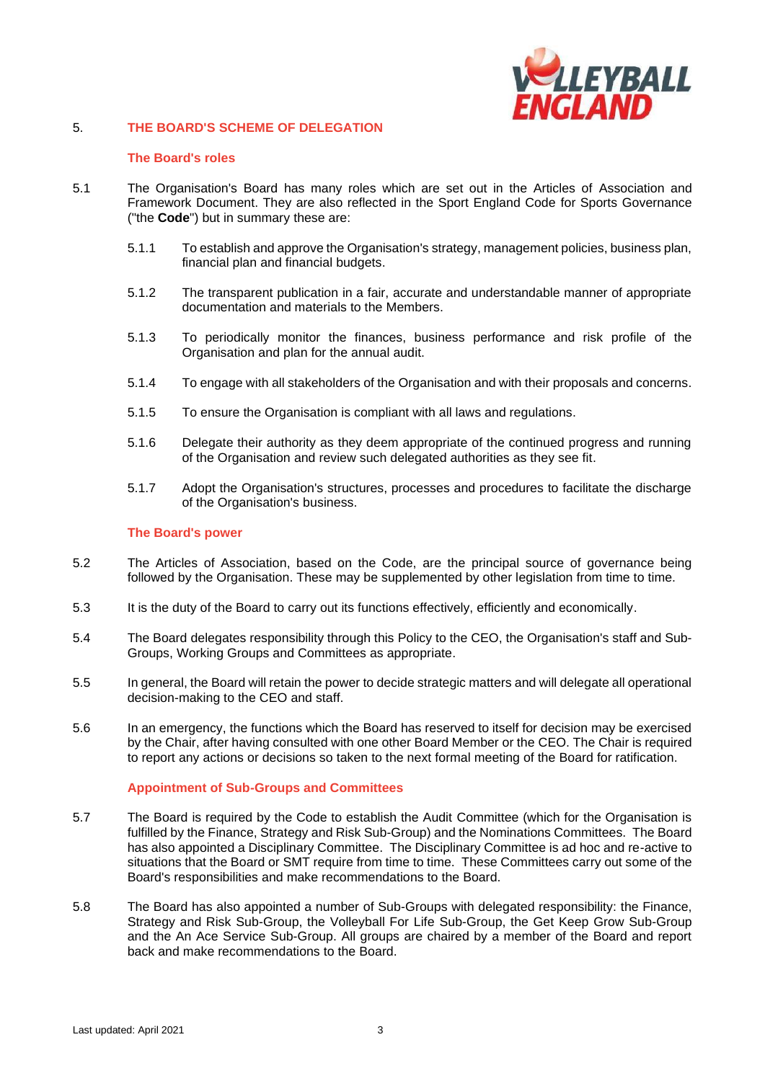

# 5. **THE BOARD'S SCHEME OF DELEGATION**

# **The Board's roles**

- 5.1 The Organisation's Board has many roles which are set out in the Articles of Association and Framework Document. They are also reflected in the Sport England Code for Sports Governance ("the **Code**") but in summary these are:
	- 5.1.1 To establish and approve the Organisation's strategy, management policies, business plan, financial plan and financial budgets.
	- 5.1.2 The transparent publication in a fair, accurate and understandable manner of appropriate documentation and materials to the Members.
	- 5.1.3 To periodically monitor the finances, business performance and risk profile of the Organisation and plan for the annual audit.
	- 5.1.4 To engage with all stakeholders of the Organisation and with their proposals and concerns.
	- 5.1.5 To ensure the Organisation is compliant with all laws and regulations.
	- 5.1.6 Delegate their authority as they deem appropriate of the continued progress and running of the Organisation and review such delegated authorities as they see fit.
	- 5.1.7 Adopt the Organisation's structures, processes and procedures to facilitate the discharge of the Organisation's business.

# **The Board's power**

- 5.2 The Articles of Association, based on the Code, are the principal source of governance being followed by the Organisation. These may be supplemented by other legislation from time to time.
- 5.3 It is the duty of the Board to carry out its functions effectively, efficiently and economically.
- 5.4 The Board delegates responsibility through this Policy to the CEO, the Organisation's staff and Sub-Groups, Working Groups and Committees as appropriate.
- 5.5 In general, the Board will retain the power to decide strategic matters and will delegate all operational decision-making to the CEO and staff.
- 5.6 In an emergency, the functions which the Board has reserved to itself for decision may be exercised by the Chair, after having consulted with one other Board Member or the CEO. The Chair is required to report any actions or decisions so taken to the next formal meeting of the Board for ratification.

# **Appointment of Sub-Groups and Committees**

- 5.7 The Board is required by the Code to establish the Audit Committee (which for the Organisation is fulfilled by the Finance, Strategy and Risk Sub-Group) and the Nominations Committees. The Board has also appointed a Disciplinary Committee. The Disciplinary Committee is ad hoc and re-active to situations that the Board or SMT require from time to time. These Committees carry out some of the Board's responsibilities and make recommendations to the Board.
- 5.8 The Board has also appointed a number of Sub-Groups with delegated responsibility: the Finance, Strategy and Risk Sub-Group, the Volleyball For Life Sub-Group, the Get Keep Grow Sub-Group and the An Ace Service Sub-Group. All groups are chaired by a member of the Board and report back and make recommendations to the Board.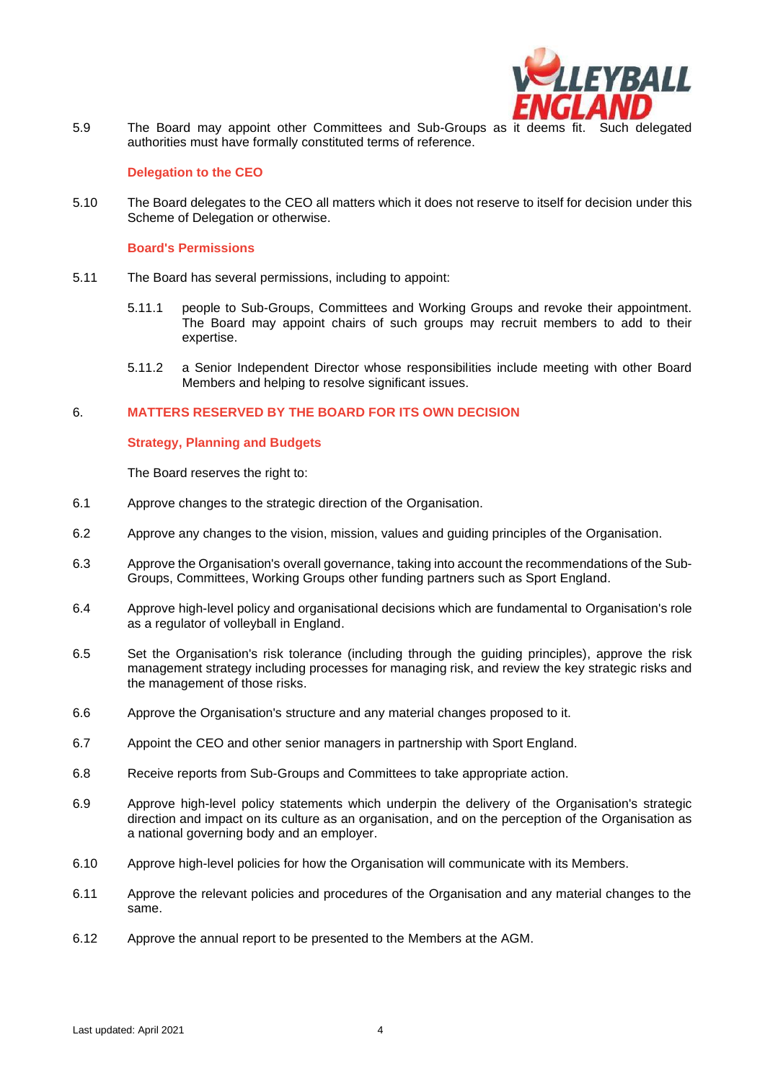

5.9 The Board may appoint other Committees and Sub-Groups as it deems fit. Such delegated authorities must have formally constituted terms of reference.

# **Delegation to the CEO**

5.10 The Board delegates to the CEO all matters which it does not reserve to itself for decision under this Scheme of Delegation or otherwise.

#### **Board's Permissions**

- 5.11 The Board has several permissions, including to appoint:
	- 5.11.1 people to Sub-Groups, Committees and Working Groups and revoke their appointment. The Board may appoint chairs of such groups may recruit members to add to their expertise.
	- 5.11.2 a Senior Independent Director whose responsibilities include meeting with other Board Members and helping to resolve significant issues.

# 6. **MATTERS RESERVED BY THE BOARD FOR ITS OWN DECISION**

# **Strategy, Planning and Budgets**

The Board reserves the right to:

- 6.1 Approve changes to the strategic direction of the Organisation.
- 6.2 Approve any changes to the vision, mission, values and guiding principles of the Organisation.
- 6.3 Approve the Organisation's overall governance, taking into account the recommendations of the Sub-Groups, Committees, Working Groups other funding partners such as Sport England.
- 6.4 Approve high-level policy and organisational decisions which are fundamental to Organisation's role as a regulator of volleyball in England.
- 6.5 Set the Organisation's risk tolerance (including through the guiding principles), approve the risk management strategy including processes for managing risk, and review the key strategic risks and the management of those risks.
- 6.6 Approve the Organisation's structure and any material changes proposed to it.
- 6.7 Appoint the CEO and other senior managers in partnership with Sport England.
- 6.8 Receive reports from Sub-Groups and Committees to take appropriate action.
- 6.9 Approve high-level policy statements which underpin the delivery of the Organisation's strategic direction and impact on its culture as an organisation, and on the perception of the Organisation as a national governing body and an employer.
- 6.10 Approve high-level policies for how the Organisation will communicate with its Members.
- 6.11 Approve the relevant policies and procedures of the Organisation and any material changes to the same.
- 6.12 Approve the annual report to be presented to the Members at the AGM.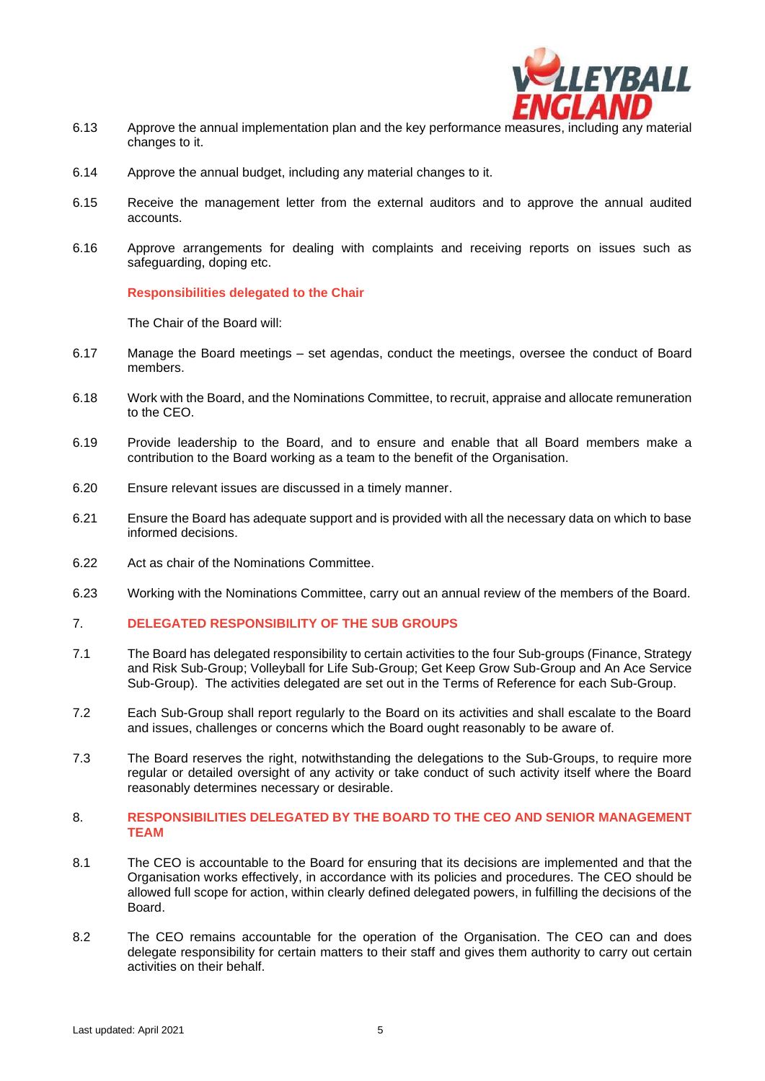

- 6.13 Approve the annual implementation plan and the key performance measures, including any material changes to it.
- 6.14 Approve the annual budget, including any material changes to it.
- 6.15 Receive the management letter from the external auditors and to approve the annual audited accounts.
- 6.16 Approve arrangements for dealing with complaints and receiving reports on issues such as safeguarding, doping etc.

**Responsibilities delegated to the Chair** 

The Chair of the Board will:

- 6.17 Manage the Board meetings set agendas, conduct the meetings, oversee the conduct of Board members.
- 6.18 Work with the Board, and the Nominations Committee, to recruit, appraise and allocate remuneration to the CEO.
- 6.19 Provide leadership to the Board, and to ensure and enable that all Board members make a contribution to the Board working as a team to the benefit of the Organisation.
- 6.20 Ensure relevant issues are discussed in a timely manner.
- 6.21 Ensure the Board has adequate support and is provided with all the necessary data on which to base informed decisions.
- 6.22 Act as chair of the Nominations Committee.
- 6.23 Working with the Nominations Committee, carry out an annual review of the members of the Board.

# 7. **DELEGATED RESPONSIBILITY OF THE SUB GROUPS**

- 7.1 The Board has delegated responsibility to certain activities to the four Sub-groups (Finance, Strategy and Risk Sub-Group; Volleyball for Life Sub-Group; Get Keep Grow Sub-Group and An Ace Service Sub-Group). The activities delegated are set out in the Terms of Reference for each Sub-Group.
- 7.2 Each Sub-Group shall report regularly to the Board on its activities and shall escalate to the Board and issues, challenges or concerns which the Board ought reasonably to be aware of.
- 7.3 The Board reserves the right, notwithstanding the delegations to the Sub-Groups, to require more regular or detailed oversight of any activity or take conduct of such activity itself where the Board reasonably determines necessary or desirable.

# 8. **RESPONSIBILITIES DELEGATED BY THE BOARD TO THE CEO AND SENIOR MANAGEMENT TEAM**

- 8.1 The CEO is accountable to the Board for ensuring that its decisions are implemented and that the Organisation works effectively, in accordance with its policies and procedures. The CEO should be allowed full scope for action, within clearly defined delegated powers, in fulfilling the decisions of the Board.
- 8.2 The CEO remains accountable for the operation of the Organisation. The CEO can and does delegate responsibility for certain matters to their staff and gives them authority to carry out certain activities on their behalf.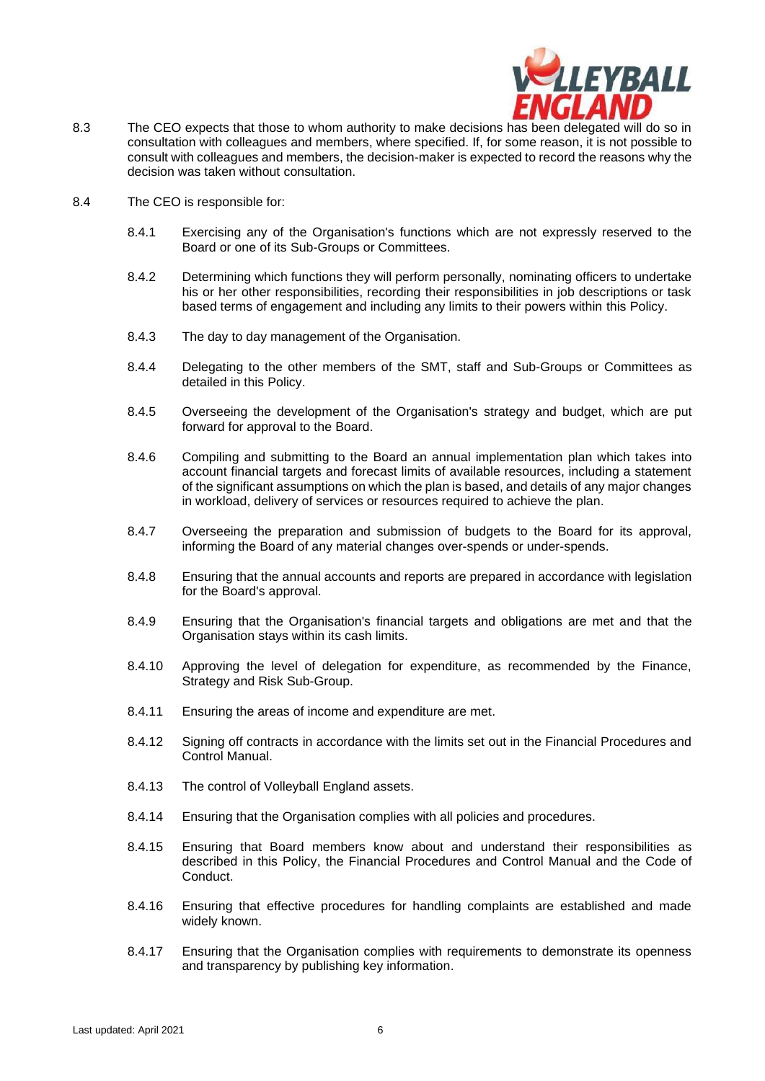

- 8.3 The CEO expects that those to whom authority to make decisions has been delegated will do so in consultation with colleagues and members, where specified. If, for some reason, it is not possible to consult with colleagues and members, the decision-maker is expected to record the reasons why the decision was taken without consultation.
- 8.4 The CEO is responsible for:
	- 8.4.1 Exercising any of the Organisation's functions which are not expressly reserved to the Board or one of its Sub-Groups or Committees.
	- 8.4.2 Determining which functions they will perform personally, nominating officers to undertake his or her other responsibilities, recording their responsibilities in job descriptions or task based terms of engagement and including any limits to their powers within this Policy.
	- 8.4.3 The day to day management of the Organisation.
	- 8.4.4 Delegating to the other members of the SMT, staff and Sub-Groups or Committees as detailed in this Policy.
	- 8.4.5 Overseeing the development of the Organisation's strategy and budget, which are put forward for approval to the Board.
	- 8.4.6 Compiling and submitting to the Board an annual implementation plan which takes into account financial targets and forecast limits of available resources, including a statement of the significant assumptions on which the plan is based, and details of any major changes in workload, delivery of services or resources required to achieve the plan.
	- 8.4.7 Overseeing the preparation and submission of budgets to the Board for its approval, informing the Board of any material changes over-spends or under-spends.
	- 8.4.8 Ensuring that the annual accounts and reports are prepared in accordance with legislation for the Board's approval.
	- 8.4.9 Ensuring that the Organisation's financial targets and obligations are met and that the Organisation stays within its cash limits.
	- 8.4.10 Approving the level of delegation for expenditure, as recommended by the Finance, Strategy and Risk Sub-Group.
	- 8.4.11 Ensuring the areas of income and expenditure are met.
	- 8.4.12 Signing off contracts in accordance with the limits set out in the Financial Procedures and Control Manual.
	- 8.4.13 The control of Volleyball England assets.
	- 8.4.14 Ensuring that the Organisation complies with all policies and procedures.
	- 8.4.15 Ensuring that Board members know about and understand their responsibilities as described in this Policy, the Financial Procedures and Control Manual and the Code of Conduct.
	- 8.4.16 Ensuring that effective procedures for handling complaints are established and made widely known.
	- 8.4.17 Ensuring that the Organisation complies with requirements to demonstrate its openness and transparency by publishing key information.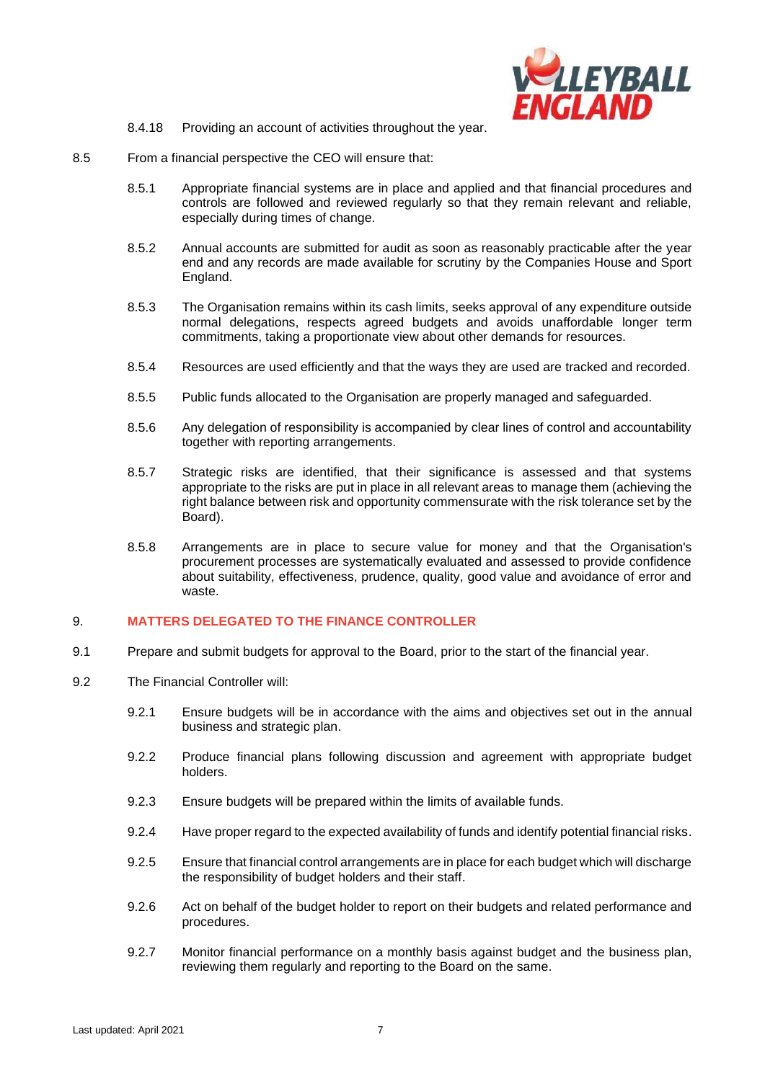

- 8.4.18 Providing an account of activities throughout the year.
- 8.5 From a financial perspective the CEO will ensure that:
	- 8.5.1 Appropriate financial systems are in place and applied and that financial procedures and controls are followed and reviewed regularly so that they remain relevant and reliable, especially during times of change.
	- 8.5.2 Annual accounts are submitted for audit as soon as reasonably practicable after the year end and any records are made available for scrutiny by the Companies House and Sport England.
	- 8.5.3 The Organisation remains within its cash limits, seeks approval of any expenditure outside normal delegations, respects agreed budgets and avoids unaffordable longer term commitments, taking a proportionate view about other demands for resources.
	- 8.5.4 Resources are used efficiently and that the ways they are used are tracked and recorded.
	- 8.5.5 Public funds allocated to the Organisation are properly managed and safeguarded.
	- 8.5.6 Any delegation of responsibility is accompanied by clear lines of control and accountability together with reporting arrangements.
	- 8.5.7 Strategic risks are identified, that their significance is assessed and that systems appropriate to the risks are put in place in all relevant areas to manage them (achieving the right balance between risk and opportunity commensurate with the risk tolerance set by the Board).
	- 8.5.8 Arrangements are in place to secure value for money and that the Organisation's procurement processes are systematically evaluated and assessed to provide confidence about suitability, effectiveness, prudence, quality, good value and avoidance of error and waste.

# 9. **MATTERS DELEGATED TO THE FINANCE CONTROLLER**

- 9.1 Prepare and submit budgets for approval to the Board, prior to the start of the financial year.
- 9.2 The Financial Controller will:
	- 9.2.1 Ensure budgets will be in accordance with the aims and objectives set out in the annual business and strategic plan.
	- 9.2.2 Produce financial plans following discussion and agreement with appropriate budget holders.
	- 9.2.3 Ensure budgets will be prepared within the limits of available funds.
	- 9.2.4 Have proper regard to the expected availability of funds and identify potential financial risks.
	- 9.2.5 Ensure that financial control arrangements are in place for each budget which will discharge the responsibility of budget holders and their staff.
	- 9.2.6 Act on behalf of the budget holder to report on their budgets and related performance and procedures.
	- 9.2.7 Monitor financial performance on a monthly basis against budget and the business plan, reviewing them regularly and reporting to the Board on the same.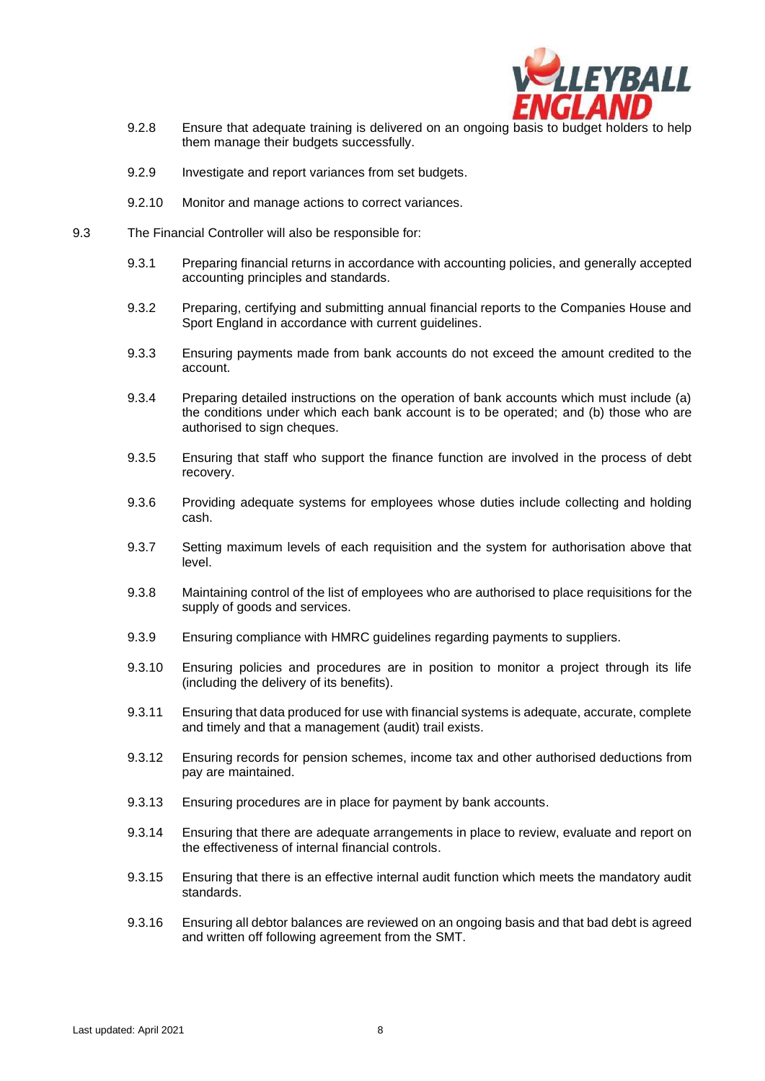

- 9.2.8 Ensure that adequate training is delivered on an ongoing basis to budget holders to help them manage their budgets successfully.
- 9.2.9 Investigate and report variances from set budgets.
- 9.2.10 Monitor and manage actions to correct variances.
- 9.3 The Financial Controller will also be responsible for:
	- 9.3.1 Preparing financial returns in accordance with accounting policies, and generally accepted accounting principles and standards.
	- 9.3.2 Preparing, certifying and submitting annual financial reports to the Companies House and Sport England in accordance with current guidelines.
	- 9.3.3 Ensuring payments made from bank accounts do not exceed the amount credited to the account.
	- 9.3.4 Preparing detailed instructions on the operation of bank accounts which must include (a) the conditions under which each bank account is to be operated; and (b) those who are authorised to sign cheques.
	- 9.3.5 Ensuring that staff who support the finance function are involved in the process of debt recovery.
	- 9.3.6 Providing adequate systems for employees whose duties include collecting and holding cash.
	- 9.3.7 Setting maximum levels of each requisition and the system for authorisation above that level.
	- 9.3.8 Maintaining control of the list of employees who are authorised to place requisitions for the supply of goods and services.
	- 9.3.9 Ensuring compliance with HMRC guidelines regarding payments to suppliers.
	- 9.3.10 Ensuring policies and procedures are in position to monitor a project through its life (including the delivery of its benefits).
	- 9.3.11 Ensuring that data produced for use with financial systems is adequate, accurate, complete and timely and that a management (audit) trail exists.
	- 9.3.12 Ensuring records for pension schemes, income tax and other authorised deductions from pay are maintained.
	- 9.3.13 Ensuring procedures are in place for payment by bank accounts.
	- 9.3.14 Ensuring that there are adequate arrangements in place to review, evaluate and report on the effectiveness of internal financial controls.
	- 9.3.15 Ensuring that there is an effective internal audit function which meets the mandatory audit standards.
	- 9.3.16 Ensuring all debtor balances are reviewed on an ongoing basis and that bad debt is agreed and written off following agreement from the SMT.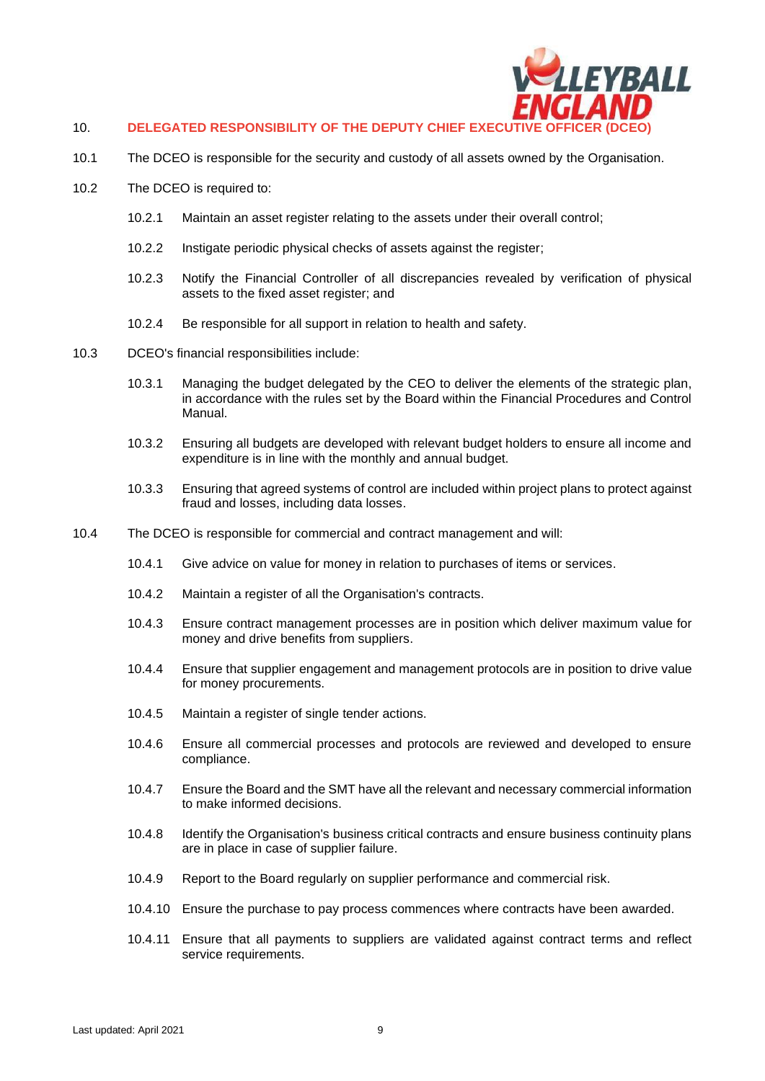

#### 10. **DELEGATED RESPONSIBILITY OF THE DEPUTY CHIEF EXECUTIVE**

- 10.1 The DCEO is responsible for the security and custody of all assets owned by the Organisation.
- 10.2 The DCEO is required to:
	- 10.2.1 Maintain an asset register relating to the assets under their overall control;
	- 10.2.2 Instigate periodic physical checks of assets against the register;
	- 10.2.3 Notify the Financial Controller of all discrepancies revealed by verification of physical assets to the fixed asset register; and
	- 10.2.4 Be responsible for all support in relation to health and safety.
- 10.3 DCEO's financial responsibilities include:
	- 10.3.1 Managing the budget delegated by the CEO to deliver the elements of the strategic plan, in accordance with the rules set by the Board within the Financial Procedures and Control Manual.
	- 10.3.2 Ensuring all budgets are developed with relevant budget holders to ensure all income and expenditure is in line with the monthly and annual budget.
	- 10.3.3 Ensuring that agreed systems of control are included within project plans to protect against fraud and losses, including data losses.
- 10.4 The DCEO is responsible for commercial and contract management and will:
	- 10.4.1 Give advice on value for money in relation to purchases of items or services.
	- 10.4.2 Maintain a register of all the Organisation's contracts.
	- 10.4.3 Ensure contract management processes are in position which deliver maximum value for money and drive benefits from suppliers.
	- 10.4.4 Ensure that supplier engagement and management protocols are in position to drive value for money procurements.
	- 10.4.5 Maintain a register of single tender actions.
	- 10.4.6 Ensure all commercial processes and protocols are reviewed and developed to ensure compliance.
	- 10.4.7 Ensure the Board and the SMT have all the relevant and necessary commercial information to make informed decisions.
	- 10.4.8 Identify the Organisation's business critical contracts and ensure business continuity plans are in place in case of supplier failure.
	- 10.4.9 Report to the Board regularly on supplier performance and commercial risk.
	- 10.4.10 Ensure the purchase to pay process commences where contracts have been awarded.
	- 10.4.11 Ensure that all payments to suppliers are validated against contract terms and reflect service requirements.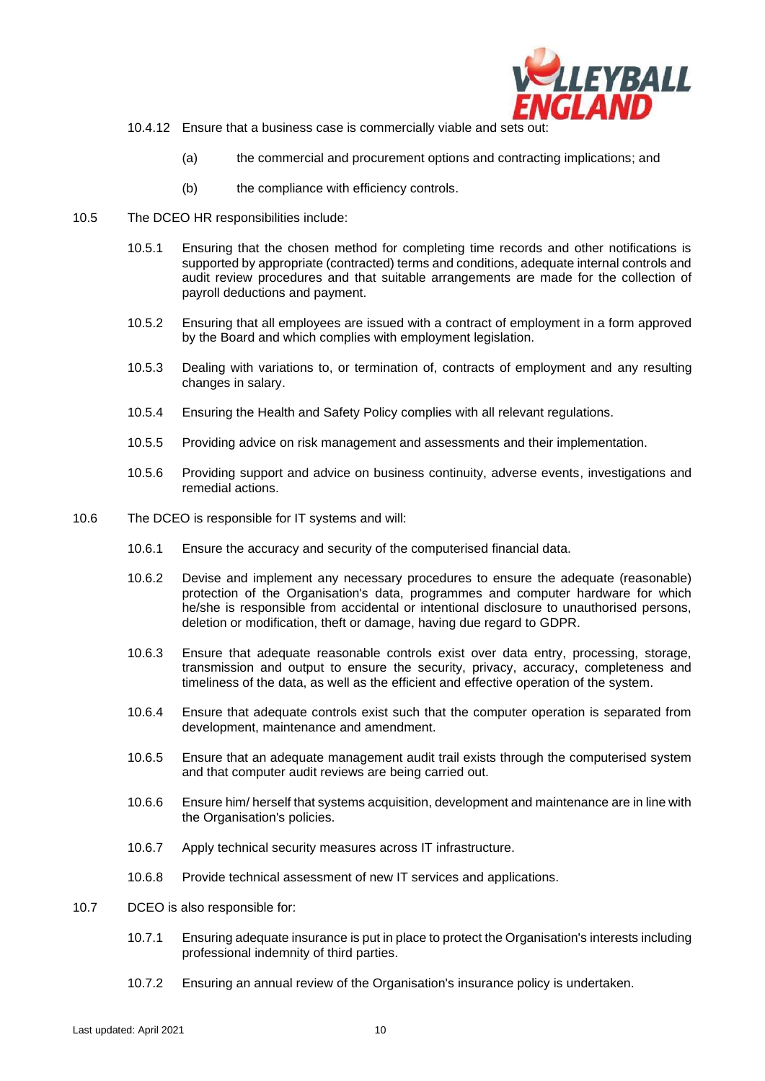

- 10.4.12 Ensure that a business case is commercially viable and sets out:
	- (a) the commercial and procurement options and contracting implications; and
	- (b) the compliance with efficiency controls.
- 10.5 The DCEO HR responsibilities include:
	- 10.5.1 Ensuring that the chosen method for completing time records and other notifications is supported by appropriate (contracted) terms and conditions, adequate internal controls and audit review procedures and that suitable arrangements are made for the collection of payroll deductions and payment.
	- 10.5.2 Ensuring that all employees are issued with a contract of employment in a form approved by the Board and which complies with employment legislation.
	- 10.5.3 Dealing with variations to, or termination of, contracts of employment and any resulting changes in salary.
	- 10.5.4 Ensuring the Health and Safety Policy complies with all relevant regulations.
	- 10.5.5 Providing advice on risk management and assessments and their implementation.
	- 10.5.6 Providing support and advice on business continuity, adverse events, investigations and remedial actions.
- 10.6 The DCEO is responsible for IT systems and will:
	- 10.6.1 Ensure the accuracy and security of the computerised financial data.
	- 10.6.2 Devise and implement any necessary procedures to ensure the adequate (reasonable) protection of the Organisation's data, programmes and computer hardware for which he/she is responsible from accidental or intentional disclosure to unauthorised persons, deletion or modification, theft or damage, having due regard to GDPR.
	- 10.6.3 Ensure that adequate reasonable controls exist over data entry, processing, storage, transmission and output to ensure the security, privacy, accuracy, completeness and timeliness of the data, as well as the efficient and effective operation of the system.
	- 10.6.4 Ensure that adequate controls exist such that the computer operation is separated from development, maintenance and amendment.
	- 10.6.5 Ensure that an adequate management audit trail exists through the computerised system and that computer audit reviews are being carried out.
	- 10.6.6 Ensure him/ herself that systems acquisition, development and maintenance are in line with the Organisation's policies.
	- 10.6.7 Apply technical security measures across IT infrastructure.
	- 10.6.8 Provide technical assessment of new IT services and applications.
- 10.7 DCEO is also responsible for:
	- 10.7.1 Ensuring adequate insurance is put in place to protect the Organisation's interests including professional indemnity of third parties.
	- 10.7.2 Ensuring an annual review of the Organisation's insurance policy is undertaken.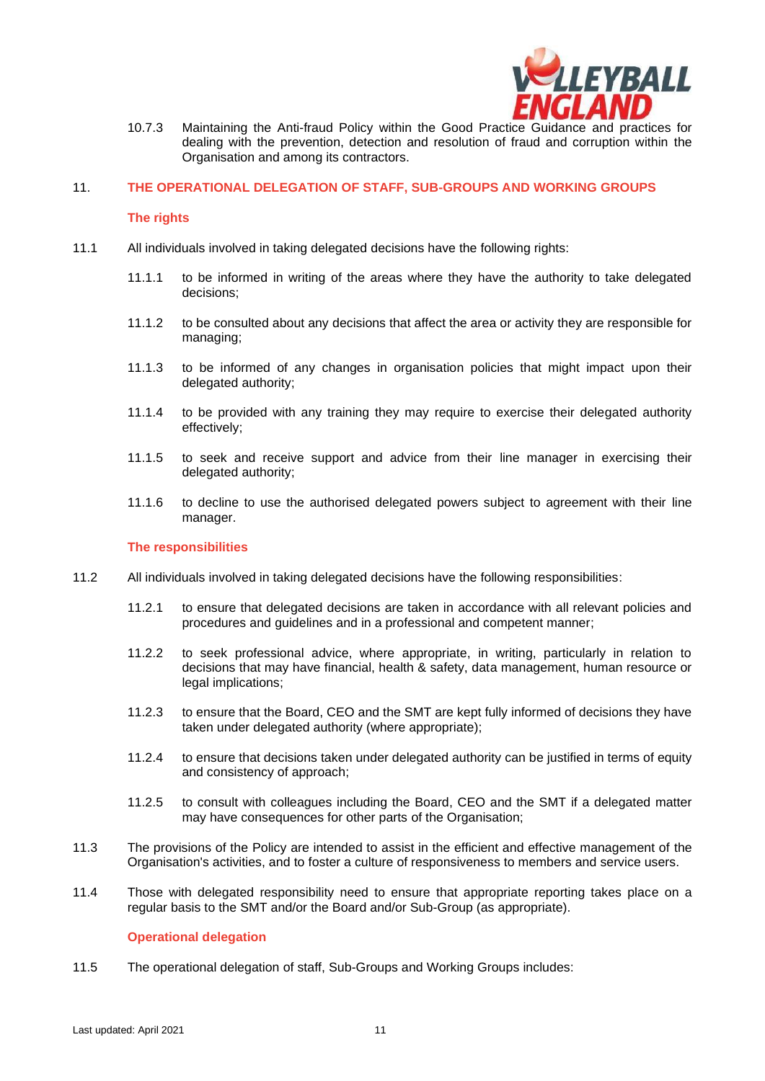

10.7.3 Maintaining the Anti-fraud Policy within the Good Practice Guidance and practices for dealing with the prevention, detection and resolution of fraud and corruption within the Organisation and among its contractors.

#### 11. **THE OPERATIONAL DELEGATION OF STAFF, SUB-GROUPS AND WORKING GROUPS**

# **The rights**

- 11.1 All individuals involved in taking delegated decisions have the following rights:
	- 11.1.1 to be informed in writing of the areas where they have the authority to take delegated decisions;
	- 11.1.2 to be consulted about any decisions that affect the area or activity they are responsible for managing;
	- 11.1.3 to be informed of any changes in organisation policies that might impact upon their delegated authority;
	- 11.1.4 to be provided with any training they may require to exercise their delegated authority effectively;
	- 11.1.5 to seek and receive support and advice from their line manager in exercising their delegated authority;
	- 11.1.6 to decline to use the authorised delegated powers subject to agreement with their line manager.

#### **The responsibilities**

- 11.2 All individuals involved in taking delegated decisions have the following responsibilities:
	- 11.2.1 to ensure that delegated decisions are taken in accordance with all relevant policies and procedures and guidelines and in a professional and competent manner;
	- 11.2.2 to seek professional advice, where appropriate, in writing, particularly in relation to decisions that may have financial, health & safety, data management, human resource or legal implications;
	- 11.2.3 to ensure that the Board, CEO and the SMT are kept fully informed of decisions they have taken under delegated authority (where appropriate);
	- 11.2.4 to ensure that decisions taken under delegated authority can be justified in terms of equity and consistency of approach;
	- 11.2.5 to consult with colleagues including the Board, CEO and the SMT if a delegated matter may have consequences for other parts of the Organisation;
- 11.3 The provisions of the Policy are intended to assist in the efficient and effective management of the Organisation's activities, and to foster a culture of responsiveness to members and service users.
- 11.4 Those with delegated responsibility need to ensure that appropriate reporting takes place on a regular basis to the SMT and/or the Board and/or Sub-Group (as appropriate).

# **Operational delegation**

11.5 The operational delegation of staff, Sub-Groups and Working Groups includes: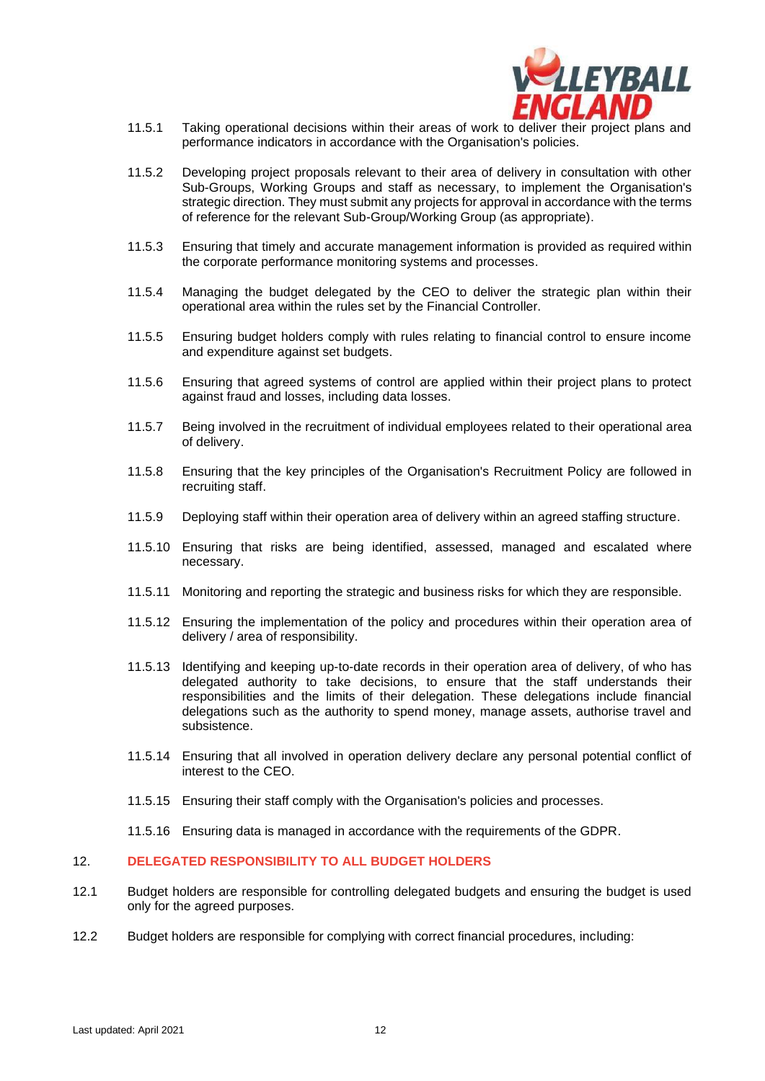

- 11.5.1 Taking operational decisions within their areas of work to deliver their project plans and performance indicators in accordance with the Organisation's policies.
- 11.5.2 Developing project proposals relevant to their area of delivery in consultation with other Sub-Groups, Working Groups and staff as necessary, to implement the Organisation's strategic direction. They must submit any projects for approval in accordance with the terms of reference for the relevant Sub-Group/Working Group (as appropriate).
- 11.5.3 Ensuring that timely and accurate management information is provided as required within the corporate performance monitoring systems and processes.
- 11.5.4 Managing the budget delegated by the CEO to deliver the strategic plan within their operational area within the rules set by the Financial Controller.
- 11.5.5 Ensuring budget holders comply with rules relating to financial control to ensure income and expenditure against set budgets.
- 11.5.6 Ensuring that agreed systems of control are applied within their project plans to protect against fraud and losses, including data losses.
- 11.5.7 Being involved in the recruitment of individual employees related to their operational area of delivery.
- 11.5.8 Ensuring that the key principles of the Organisation's Recruitment Policy are followed in recruiting staff.
- 11.5.9 Deploying staff within their operation area of delivery within an agreed staffing structure.
- 11.5.10 Ensuring that risks are being identified, assessed, managed and escalated where necessary.
- 11.5.11 Monitoring and reporting the strategic and business risks for which they are responsible.
- 11.5.12 Ensuring the implementation of the policy and procedures within their operation area of delivery / area of responsibility.
- 11.5.13 Identifying and keeping up-to-date records in their operation area of delivery, of who has delegated authority to take decisions, to ensure that the staff understands their responsibilities and the limits of their delegation. These delegations include financial delegations such as the authority to spend money, manage assets, authorise travel and subsistence.
- 11.5.14 Ensuring that all involved in operation delivery declare any personal potential conflict of interest to the CEO.
- 11.5.15 Ensuring their staff comply with the Organisation's policies and processes.
- 11.5.16 Ensuring data is managed in accordance with the requirements of the GDPR.

# 12. **DELEGATED RESPONSIBILITY TO ALL BUDGET HOLDERS**

- 12.1 Budget holders are responsible for controlling delegated budgets and ensuring the budget is used only for the agreed purposes.
- 12.2 Budget holders are responsible for complying with correct financial procedures, including: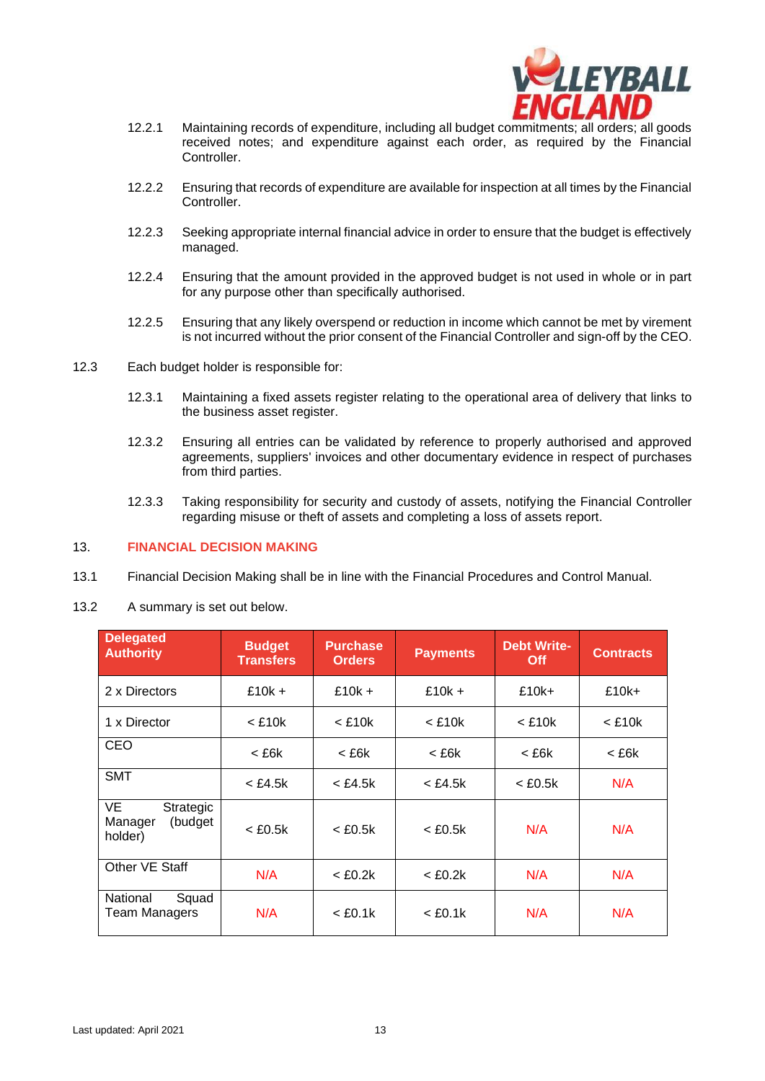

- 12.2.1 Maintaining records of expenditure, including all budget commitments; all orders; all goods received notes; and expenditure against each order, as required by the Financial Controller.
- 12.2.2 Ensuring that records of expenditure are available for inspection at all times by the Financial Controller.
- 12.2.3 Seeking appropriate internal financial advice in order to ensure that the budget is effectively managed.
- 12.2.4 Ensuring that the amount provided in the approved budget is not used in whole or in part for any purpose other than specifically authorised.
- 12.2.5 Ensuring that any likely overspend or reduction in income which cannot be met by virement is not incurred without the prior consent of the Financial Controller and sign-off by the CEO.
- 12.3 Each budget holder is responsible for:
	- 12.3.1 Maintaining a fixed assets register relating to the operational area of delivery that links to the business asset register.
	- 12.3.2 Ensuring all entries can be validated by reference to properly authorised and approved agreements, suppliers' invoices and other documentary evidence in respect of purchases from third parties.
	- 12.3.3 Taking responsibility for security and custody of assets, notifying the Financial Controller regarding misuse or theft of assets and completing a loss of assets report.

# 13. **FINANCIAL DECISION MAKING**

- 13.1 Financial Decision Making shall be in line with the Financial Procedures and Control Manual.
- 13.2 A summary is set out below.

| <b>Delegated</b><br><b>Authority</b>             | <b>Budget</b><br><b>Transfers</b> | <b>Purchase</b><br><b>Orders</b> | <b>Payments</b> | <b>Debt Write-</b><br><b>Off</b> | <b>Contracts</b> |
|--------------------------------------------------|-----------------------------------|----------------------------------|-----------------|----------------------------------|------------------|
| 2 x Directors                                    | $£10k +$                          | $£10k +$                         | $£10k +$        | $£10k+$                          | $£10k+$          |
| 1 x Director                                     | $<$ £10 $k$                       | $<$ £10 $k$                      | $<$ £10 $k$     | $<$ £10 $k$                      | $<$ £10 $k$      |
| <b>CEO</b>                                       | < £6k                             | < £6k                            | < £6k           | < £6k                            | < £6k            |
| <b>SMT</b>                                       | $<$ £4.5 $k$                      | < £4.5k                          | < £4.5k         | $<$ £0.5 $k$                     | N/A              |
| VE<br>Strategic<br>(budget<br>Manager<br>holder) | $<$ £0.5 $k$                      | $<$ £0.5 $k$                     | < £0.5k         | N/A                              | N/A              |
| Other VE Staff                                   | N/A                               | $<$ £0.2 $k$                     | $<$ £0.2 $k$    | N/A                              | N/A              |
| National<br>Squad<br><b>Team Managers</b>        | N/A                               | $<$ £0.1 $k$                     | $<$ £0.1 $k$    | N/A                              | N/A              |